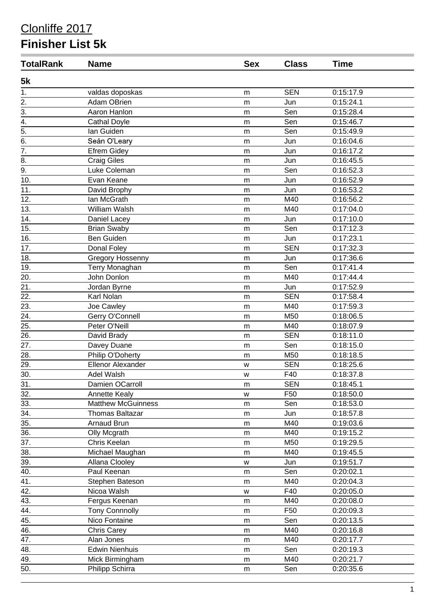#### Clonliffe 2017

#### **Finisher List 5k**

| <b>TotalRank</b> | <b>Name</b>               | <b>Sex</b> | <b>Class</b>    | <b>Time</b>            |  |
|------------------|---------------------------|------------|-----------------|------------------------|--|
| 5k               |                           |            |                 |                        |  |
| 1.               | valdas doposkas           | m          | <b>SEN</b>      | 0:15:17.9              |  |
| 2.               | Adam OBrien               | m          | Jun             | 0:15:24.1              |  |
| $\overline{3}$ . | Aaron Hanlon              | m          | Sen             | 0:15:28.4              |  |
| $\overline{4}$ . | <b>Cathal Doyle</b>       | m          | Sen             | 0:15:46.7              |  |
| $\overline{5}$ . | lan Guiden                | m          | Sen             | 0:15:49.9              |  |
| 6.               | Seán O'Leary              | m          | Jun             | 0:16:04.6              |  |
| $\overline{7}$ . | <b>Efrem Gidey</b>        | m          | Jun             | 0:16:17.2              |  |
| 8.               | <b>Craig Giles</b>        | m          | Jun             | 0:16:45.5              |  |
| 9.               | Luke Coleman              | m          | Sen             | 0:16:52.3              |  |
| 10.              | Evan Keane                | m          | Jun             | 0:16:52.9              |  |
| 11.              | David Brophy              | m          | Jun             | 0:16:53.2              |  |
| 12.              | lan McGrath               | m          | M40             | 0:16:56.2              |  |
| 13.              | William Walsh             | m          | M40             | 0:17:04.0              |  |
| 14.              | Daniel Lacey              | m          | Jun             | 0:17:10.0              |  |
| 15.              | <b>Brian Swaby</b>        | m          | Sen             | 0:17:12.3              |  |
| 16.              | Ben Guiden                |            | Jun             | 0:17:23.1              |  |
| 17.              |                           | m          | <b>SEN</b>      | 0:17:32.3              |  |
|                  | Donal Foley               | m          |                 |                        |  |
| 18.              | Gregory Hossenny          | m          | Jun<br>Sen      | 0:17:36.6<br>0:17:41.4 |  |
| 19.              | Terry Monaghan            | m          |                 |                        |  |
| 20.              | John Donlon               | m          | M40             | 0:17:44.4              |  |
| 21.              | Jordan Byrne              | m          | Jun             | 0:17:52.9              |  |
| 22.              | Karl Nolan                | m          | <b>SEN</b>      | 0:17:58.4              |  |
| 23.              | Joe Cawley                | m          | M40             | 0:17:59.3              |  |
| 24.              | Gerry O'Connell           | m          | M50             | 0:18:06.5              |  |
| 25.              | Peter O'Neill             | m          | M40             | 0:18:07.9              |  |
| 26.              | David Brady               | m          | <b>SEN</b>      | 0:18:11.0              |  |
| 27.              | Davey Duane               | m          | Sen             | 0:18:15.0              |  |
| 28.              | Philip O'Doherty          | m          | M50             | 0:18:18.5              |  |
| 29.              | <b>Ellenor Alexander</b>  | W          | <b>SEN</b>      | 0:18:25.6              |  |
| 30.              | Adel Walsh                | W          | F40             | 0:18:37.8              |  |
| 31.              | Damien OCarroll           | m          | <b>SEN</b>      | 0:18:45.1              |  |
| 32.              | Annette Kealy             | W          | F <sub>50</sub> | 0:18:50.0              |  |
| 33.              | <b>Matthew McGuinness</b> | m          | Sen             | 0:18:53.0              |  |
| 34.              | <b>Thomas Baltazar</b>    | m          | Jun             | 0:18:57.8              |  |
| 35.              | Arnaud Brun               | m          | M40             | 0:19:03.6              |  |
| 36.              | Olly Mcgrath              | m          | M40             | 0:19:15.2              |  |
| 37.              | Chris Keelan              | m          | M50             | 0:19:29.5              |  |
| 38.              | Michael Maughan           | m          | M40             | 0:19:45.5              |  |
| 39.              | Allana Clooley            | W          | Jun             | 0:19:51.7              |  |
| 40.              | Paul Keenan               | m          | Sen             | 0:20:02.1              |  |
| 41.              | Stephen Bateson           | m          | M40             | 0:20:04.3              |  |
| 42.              | Nicoa Walsh               | W          | F40             | 0:20:05.0              |  |
| 43.              | Fergus Keenan             | m          | M40             | 0:20:08.0              |  |
| 44.              | <b>Tony Connnolly</b>     | m          | F50             | 0:20:09.3              |  |
| 45.              | Nico Fontaine             | m          | Sen             | 0:20:13.5              |  |
| 46.              | <b>Chris Carey</b>        | m          | M40             | 0:20:16.8              |  |
| 47.              | Alan Jones                | m          | M40             | 0:20:17.7              |  |
| 48.              | <b>Edwin Nienhuis</b>     | m          | Sen             | 0:20:19.3              |  |
| 49.              | Mick Birmingham           | m          | M40             | 0:20:21.7              |  |
| 50.              | Philipp Schirra           | m          | Sen             | 0:20:35.6              |  |
|                  |                           |            |                 |                        |  |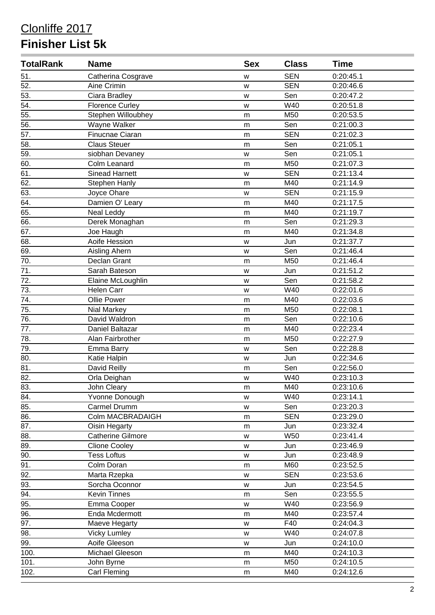# Clonliffe 2017 **Finisher List 5k**

| <b>TotalRank</b>  | <b>Name</b>              | <b>Sex</b> | <b>Class</b> | <b>Time</b> |  |
|-------------------|--------------------------|------------|--------------|-------------|--|
| 51.               | Catherina Cosgrave       | W          | <b>SEN</b>   | 0:20:45.1   |  |
| 52.               | Aine Crimin              | W          | <b>SEN</b>   | 0:20:46.6   |  |
| 53.               | Ciara Bradley            | W          | Sen          | 0:20:47.2   |  |
| 54.               | <b>Florence Curley</b>   | W          | W40          | 0:20:51.8   |  |
| 55.               | Stephen Willoubhey       | m          | M50          | 0:20:53.5   |  |
| 56.               | Wayne Walker             | m          | Sen          | 0:21:00.3   |  |
| 57.               | Finucnae Ciaran          | m          | <b>SEN</b>   | 0:21:02.3   |  |
| 58.               | <b>Claus Steuer</b>      | m          | Sen          | 0:21:05.1   |  |
| 59.               | siobhan Devaney          | W          | Sen          | 0:21:05.1   |  |
| 60.               | Colm Leanard             | m          | M50          | 0:21:07.3   |  |
| 61.               | <b>Sinead Harnett</b>    | W          | <b>SEN</b>   | 0:21:13.4   |  |
| 62.               | <b>Stephen Hanly</b>     | m          | M40          | 0:21:14.9   |  |
| 63.               | Joyce Ohare              | W          | <b>SEN</b>   | 0:21:15.9   |  |
| 64.               | Damien O' Leary          | m          | M40          | 0:21:17.5   |  |
| 65.               | <b>Neal Leddy</b>        | m          | M40          | 0:21:19.7   |  |
| 66.               | Derek Monaghan           | m          | Sen          | 0:21:29.3   |  |
| 67.               | Joe Haugh                | m          | M40          | 0:21:34.8   |  |
| $\overline{68}$ . | Aoife Hession            | W          | Jun          | 0:21:37.7   |  |
| 69.               | Aisling Ahern            | W          | Sen          | 0:21:46.4   |  |
| 70.               | Declan Grant             | m          | M50          | 0:21:46.4   |  |
| 71.               | Sarah Bateson            | W          | Jun          | 0:21:51.2   |  |
| 72.               | Elaine McLoughlin        | W          | Sen          | 0:21:58.2   |  |
| 73.               | Helen Carr               | w          | W40          | 0:22:01.6   |  |
| 74.               | Ollie Power              | m          | M40          | 0:22:03.6   |  |
| 75.               | Nial Markey              | m          | M50          | 0:22:08.1   |  |
| 76.               | David Waldron            | m          | Sen          | 0:22:10.6   |  |
| 77.               | Daniel Baltazar          | m          | M40          | 0:22:23.4   |  |
| 78.               | Alan Fairbrother         | m          | M50          | 0:22:27.9   |  |
| 79.               | Emma Barry               | W          | Sen          | 0:22:28.8   |  |
| 80.               | Katie Halpin             | W          | Jun          | 0:22:34.6   |  |
| 81.               | David Reilly             | m          | Sen          | 0:22:56.0   |  |
| 82.               | Orla Deighan             | w          | W40          | 0:23:10.3   |  |
| 83.               | John Cleary              | m          | M40          | 0:23:10.6   |  |
| 84.               | Yvonne Donough           | W          | W40          | 0:23:14.1   |  |
| 85.               | Carmel Drumm             | W          | Sen          | 0:23:20.3   |  |
| 86.               | Colm MACBRADAIGH         | m          | <b>SEN</b>   | 0:23:29.0   |  |
| 87.               | Oisin Hegarty            | m          | Jun          | 0:23:32.4   |  |
| 88.               | <b>Catherine Gilmore</b> | W          | <b>W50</b>   | 0:23:41.4   |  |
| 89.               | <b>Clione Cooley</b>     | w          | Jun          | 0:23:46.9   |  |
| 90.               | <b>Tess Loftus</b>       | W          | Jun          | 0:23:48.9   |  |
| $\overline{91}$ . | Colm Doran               | m          | M60          | 0:23:52.5   |  |
| 92.               | Marta Rzepka             | W          | <b>SEN</b>   | 0:23:53.6   |  |
| 93.               | Sorcha Oconnor           | W          | Jun          | 0:23:54.5   |  |
| 94.               | Kevin Tinnes             | m          | Sen          | 0:23:55.5   |  |
| 95.               | Emma Cooper              | W          | W40          | 0:23:56.9   |  |
| 96.               | Enda Mcdermott           | m          | M40          | 0:23:57.4   |  |
| 97.               | Maeve Hegarty            | W          | F40          | 0:24:04.3   |  |
| 98.               | <b>Vicky Lumley</b>      | W          | W40          | 0:24:07.8   |  |
| 99.               | Aoife Gleeson            | W          | Jun          | 0:24:10.0   |  |
| 100.              | Michael Gleeson          | m          | M40          | 0:24:10.3   |  |
| 101.              | John Byrne               | m          | M50          | 0:24:10.5   |  |
| 102.              | Carl Fleming             | m          | M40          | 0:24:12.6   |  |
|                   |                          |            |              |             |  |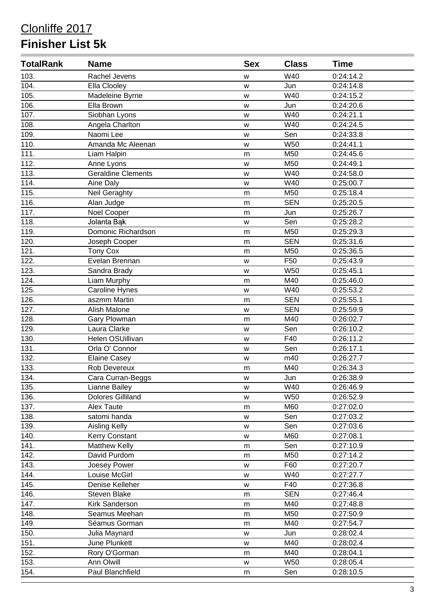# Clonliffe 2017 **Finisher List 5k**

| <b>TotalRank</b> | <b>Name</b>               | <b>Sex</b> | <b>Class</b>    | <b>Time</b> |  |
|------------------|---------------------------|------------|-----------------|-------------|--|
| 103.             | Rachel Jevens             | W          | W40             | 0:24:14.2   |  |
| 104.             | Ella Clooley              | W          | Jun             | 0:24:14.8   |  |
| 105.             | Madeleine Byrne           | W          | W40             | 0:24:15.2   |  |
| 106.             | Ella Brown                | W          | Jun             | 0:24:20.6   |  |
| 107.             | Siobhan Lyons             | w          | W40             | 0:24:21.1   |  |
| 108.             | Angela Charlton           | W          | W40             | 0:24:24.5   |  |
| 109.             | Naomi Lee                 | w          | Sen             | 0:24:33.8   |  |
| 110.             | Amanda Mc Aleenan         | W          | W50             | 0:24:41.1   |  |
| 111.             | Liam Halpin               | m          | M50             | 0:24:45.6   |  |
| 112.             | Anne Lyons                | W          | M50             | 0:24:49.1   |  |
| 113.             | <b>Geraldine Clements</b> | W          | W40             | 0:24:58.0   |  |
| 114.             | Aine Daly                 | W          | W40             | 0:25:00.7   |  |
| 115.             | Neil Geraghty             | m          | M50             | 0:25:18.4   |  |
| 116.             | Alan Judge                | m          | <b>SEN</b>      | 0:25:20.5   |  |
| 117.             | Noel Cooper               | m          | Jun             | 0:25:26.7   |  |
| 118.             | Jolanta Bąk               | W          | Sen             | 0:25:28.2   |  |
| 119.             | Domonic Richardson        | m          | M50             | 0:25:29.3   |  |
| 120.             | Joseph Cooper             | m          | <b>SEN</b>      | 0:25:31.6   |  |
| 121.             | <b>Tony Cox</b>           | m          | M50             | 0:25:36.5   |  |
| 122.             | Evelan Brennan            | W          | F <sub>50</sub> | 0:25:43.9   |  |
| 123.             | Sandra Brady              | w          | <b>W50</b>      | 0:25:45.1   |  |
| 124.             | Liam Murphy               | m          | M40             | 0:25:46.0   |  |
| 125.             | <b>Caroline Hynes</b>     | w          | W40             | 0:25:53.2   |  |
| 126.             | aszmm Martin              | m          | <b>SEN</b>      | 0:25:55.1   |  |
| 127.             | Alish Malone              | W          | <b>SEN</b>      | 0:25:59.9   |  |
| 128.             | Gary Plowman              | m          | M40             | 0:26:02.7   |  |
| 129.             | Laura Clarke              | W          | Sen             | 0:26:10.2   |  |
| 130.             | Helen OSUillivan          | w          | F40             | 0:26:11.2   |  |
| 131.             | Orla O' Connor            | W          | Sen             | 0:26:17.1   |  |
| 132.             | <b>Elaine Casey</b>       | W          | m40             | 0:26:27.7   |  |
| 133.             | Rob Devereux              | m          | M40             | 0:26:34.3   |  |
| 134.             | Cara Curran-Beggs         | W          | Jun             | 0:26:38.9   |  |
| 135.             | Lianne Bailey             | w          | W40             | 0:26:46.9   |  |
| 136.             | <b>Dolores Gilliland</b>  | W          | <b>W50</b>      | 0:26:52.9   |  |
| 137.             | Alex Taute                | m          | M60             | 0:27:02.0   |  |
| 138.             | satomi handa              | W          | Sen             | 0:27:03.2   |  |
| 139.             | Aisling Kelly             | W          | Sen             | 0:27:03.6   |  |
| 140.             | Kerry Constant            | W          | M60             | 0:27:08.1   |  |
| 141.             | <b>Matthew Kelly</b>      | m          | Sen             | 0:27:10.9   |  |
| 142.             | David Purdom              | m          | M50             | 0:27:14.2   |  |
| 143.             | Joesey Power              | W          | F60             | 0:27:20.7   |  |
| 144.             | Louise McGirl             | W          | W40             | 0:27:27.7   |  |
| 145.             | Denise Kelleher           | W          | F40             | 0:27:36.8   |  |
| 146.             | Steven Blake              | m          | <b>SEN</b>      | 0:27:46.4   |  |
| 147.             | Kirk Sanderson            | m          | M40             | 0:27:48.8   |  |
| 148.             | Seamus Meehan             | m          | M50             | 0:27:50.9   |  |
| 149.             | Séamus Gorman             | ${\sf m}$  | M40             | 0:27:54.7   |  |
| 150.             | Julia Maynard             | W          | Jun             | 0:28:02.4   |  |
| 151.             | June Plunkett             | W          | M40             | 0:28:02.4   |  |
| 152.             | Rory O'Gorman             | m          | M40             | 0:28:04.1   |  |
| 153.             | Ann Olwill                | W          | W50             | 0:28:05.4   |  |
| 154.             | Paul Blanchfield          | m          | Sen             | 0:28:10.5   |  |
|                  |                           |            |                 |             |  |